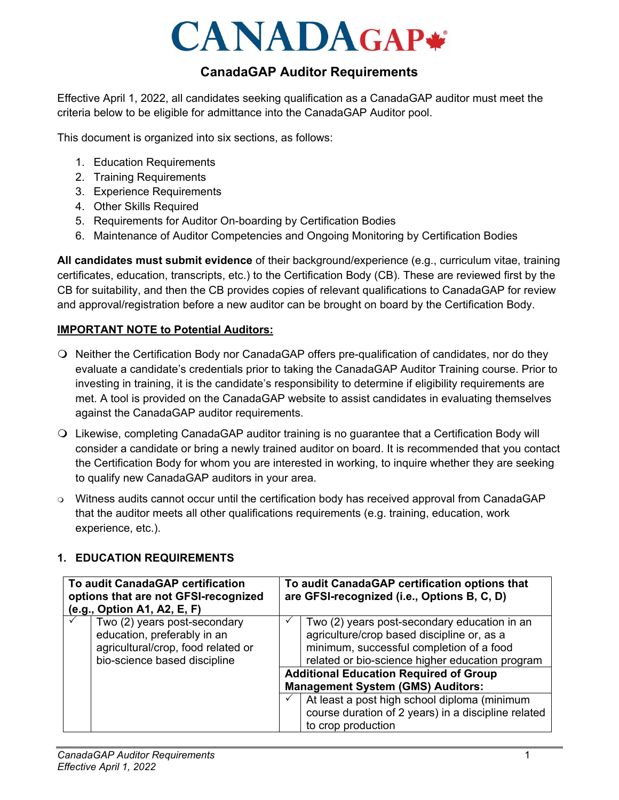# **CANADAGAP\***

# **CanadaGAP Auditor Requirements**

Effective April 1, 2022, all candidates seeking qualification as a CanadaGAP auditor must meet the criteria below to be eligible for admittance into the CanadaGAP Auditor pool.

This document is organized into six sections, as follows:

- 1. Education Requirements
- 2. Training Requirements
- 3. Experience Requirements
- 4. Other Skills Required
- 5. Requirements for Auditor On-boarding by Certification Bodies
- 6. Maintenance of Auditor Competencies and Ongoing Monitoring by Certification Bodies

**All candidates must submit evidence** of their background/experience (e.g., curriculum vitae, training certificates, education, transcripts, etc.) to the Certification Body (CB). These are reviewed first by the CB for suitability, and then the CB provides copies of relevant qualifications to CanadaGAP for review and approval/registration before a new auditor can be brought on board by the Certification Body.

## **IMPORTANT NOTE to Potential Auditors:**

- Neither the Certification Body nor CanadaGAP offers pre-qualification of candidates, nor do they evaluate a candidate's credentials prior to taking the CanadaGAP Auditor Training course. Prior to investing in training, it is the candidate's responsibility to determine if eligibility requirements are met. A tool is provided on the CanadaGAP website to assist candidates in evaluating themselves against the CanadaGAP auditor requirements.
- Likewise, completing CanadaGAP auditor training is no guarantee that a Certification Body will consider a candidate or bring a newly trained auditor on board. It is recommended that you contact the Certification Body for whom you are interested in working, to inquire whether they are seeking to qualify new CanadaGAP auditors in your area.
- Witness audits cannot occur until the certification body has received approval from CanadaGAP that the auditor meets all other qualifications requirements (e.g. training, education, work experience, etc.).

## **1. EDUCATION REQUIREMENTS**

| To audit CanadaGAP certification<br>options that are not GFSI-recognized<br>(e.g., Option A1, A2, E, F) |                                                                                                                                   | To audit CanadaGAP certification options that<br>are GFSI-recognized (i.e., Options B, C, D)                                                                                              |
|---------------------------------------------------------------------------------------------------------|-----------------------------------------------------------------------------------------------------------------------------------|-------------------------------------------------------------------------------------------------------------------------------------------------------------------------------------------|
|                                                                                                         | Two (2) years post-secondary<br>education, preferably in an<br>agricultural/crop, food related or<br>bio-science based discipline | Two (2) years post-secondary education in an<br>agriculture/crop based discipline or, as a<br>minimum, successful completion of a food<br>related or bio-science higher education program |
|                                                                                                         |                                                                                                                                   | <b>Additional Education Required of Group</b><br><b>Management System (GMS) Auditors:</b>                                                                                                 |
|                                                                                                         |                                                                                                                                   | At least a post high school diploma (minimum<br>course duration of 2 years) in a discipline related<br>to crop production                                                                 |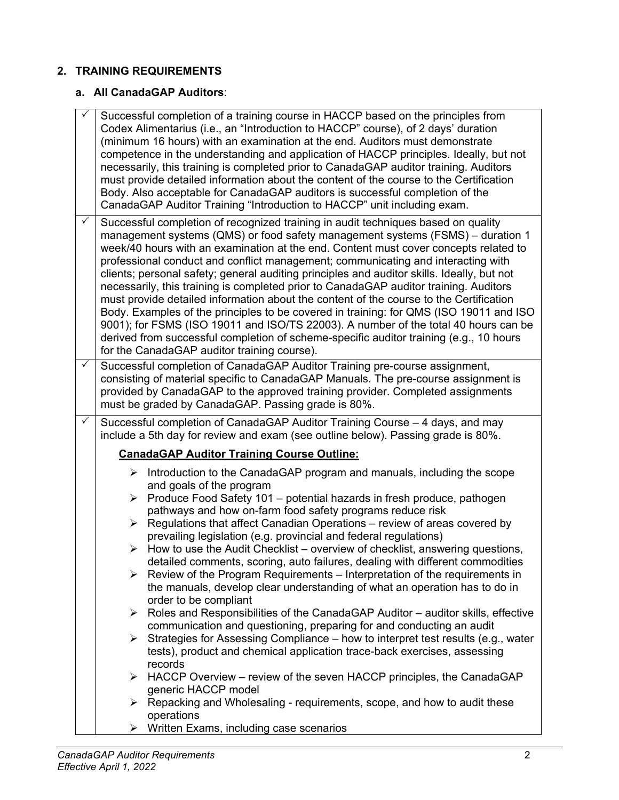# **2. TRAINING REQUIREMENTS**

# **a. All CanadaGAP Auditors**:

| ✓            | Successful completion of a training course in HACCP based on the principles from<br>Codex Alimentarius (i.e., an "Introduction to HACCP" course), of 2 days' duration<br>(minimum 16 hours) with an examination at the end. Auditors must demonstrate<br>competence in the understanding and application of HACCP principles. Ideally, but not<br>necessarily, this training is completed prior to CanadaGAP auditor training. Auditors<br>must provide detailed information about the content of the course to the Certification<br>Body. Also acceptable for CanadaGAP auditors is successful completion of the<br>CanadaGAP Auditor Training "Introduction to HACCP" unit including exam.                                                                                                                                                                                                                                                                                                                                                                                                                                                                                                                                                                                                                                                                                                  |
|--------------|-----------------------------------------------------------------------------------------------------------------------------------------------------------------------------------------------------------------------------------------------------------------------------------------------------------------------------------------------------------------------------------------------------------------------------------------------------------------------------------------------------------------------------------------------------------------------------------------------------------------------------------------------------------------------------------------------------------------------------------------------------------------------------------------------------------------------------------------------------------------------------------------------------------------------------------------------------------------------------------------------------------------------------------------------------------------------------------------------------------------------------------------------------------------------------------------------------------------------------------------------------------------------------------------------------------------------------------------------------------------------------------------------|
| $\checkmark$ | Successful completion of recognized training in audit techniques based on quality<br>management systems (QMS) or food safety management systems (FSMS) – duration 1<br>week/40 hours with an examination at the end. Content must cover concepts related to<br>professional conduct and conflict management; communicating and interacting with<br>clients; personal safety; general auditing principles and auditor skills. Ideally, but not<br>necessarily, this training is completed prior to CanadaGAP auditor training. Auditors<br>must provide detailed information about the content of the course to the Certification<br>Body. Examples of the principles to be covered in training: for QMS (ISO 19011 and ISO<br>9001); for FSMS (ISO 19011 and ISO/TS 22003). A number of the total 40 hours can be<br>derived from successful completion of scheme-specific auditor training (e.g., 10 hours<br>for the CanadaGAP auditor training course).                                                                                                                                                                                                                                                                                                                                                                                                                                    |
| $\checkmark$ | Successful completion of CanadaGAP Auditor Training pre-course assignment,<br>consisting of material specific to CanadaGAP Manuals. The pre-course assignment is<br>provided by CanadaGAP to the approved training provider. Completed assignments<br>must be graded by CanadaGAP. Passing grade is 80%.                                                                                                                                                                                                                                                                                                                                                                                                                                                                                                                                                                                                                                                                                                                                                                                                                                                                                                                                                                                                                                                                                      |
| ✓            | Successful completion of CanadaGAP Auditor Training Course - 4 days, and may<br>include a 5th day for review and exam (see outline below). Passing grade is 80%.                                                                                                                                                                                                                                                                                                                                                                                                                                                                                                                                                                                                                                                                                                                                                                                                                                                                                                                                                                                                                                                                                                                                                                                                                              |
|              | <b>CanadaGAP Auditor Training Course Outline:</b>                                                                                                                                                                                                                                                                                                                                                                                                                                                                                                                                                                                                                                                                                                                                                                                                                                                                                                                                                                                                                                                                                                                                                                                                                                                                                                                                             |
|              | $\triangleright$ Introduction to the CanadaGAP program and manuals, including the scope<br>and goals of the program<br>Produce Food Safety 101 - potential hazards in fresh produce, pathogen<br>➤<br>pathways and how on-farm food safety programs reduce risk<br>Regulations that affect Canadian Operations - review of areas covered by<br>➤<br>prevailing legislation (e.g. provincial and federal regulations)<br>How to use the Audit Checklist – overview of checklist, answering questions,<br>➤<br>detailed comments, scoring, auto failures, dealing with different commodities<br>Review of the Program Requirements – Interpretation of the requirements in<br>the manuals, develop clear understanding of what an operation has to do in<br>order to be compliant<br>Roles and Responsibilities of the CanadaGAP Auditor - auditor skills, effective<br>➤<br>communication and questioning, preparing for and conducting an audit<br>Strategies for Assessing Compliance – how to interpret test results (e.g., water<br>➤<br>tests), product and chemical application trace-back exercises, assessing<br>records<br>HACCP Overview – review of the seven HACCP principles, the CanadaGAP<br>➤<br>generic HACCP model<br>$\triangleright$ Repacking and Wholesaling - requirements, scope, and how to audit these<br>operations<br>Written Exams, including case scenarios<br>➤ |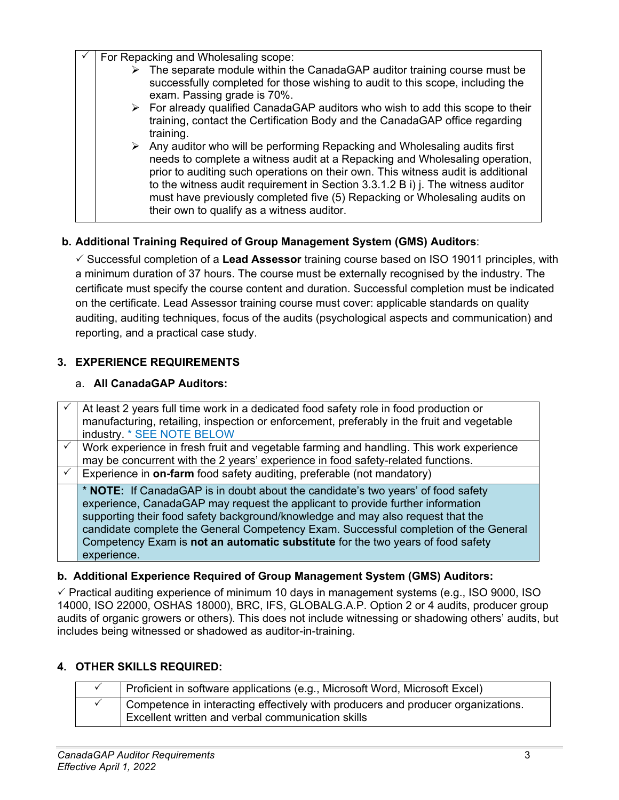$\sqrt{ }$  For Repacking and Wholesaling scope:

| $\triangleright$ The separate module within the CanadaGAP auditor training course must be<br>successfully completed for those wishing to audit to this scope, including the<br>exam. Passing grade is 70%.<br>$\triangleright$ For already qualified CanadaGAP auditors who wish to add this scope to their<br>training, contact the Certification Body and the CanadaGAP office regarding<br>training.<br>$\triangleright$ Any auditor who will be performing Repacking and Wholesaling audits first<br>needs to complete a witness audit at a Repacking and Wholesaling operation,<br>prior to auditing such operations on their own. This witness audit is additional<br>to the witness audit requirement in Section 3.3.1.2 B i) j. The witness auditor<br>must have previously completed five (5) Repacking or Wholesaling audits on<br>their own to qualify as a witness auditor. |  | . or repacting and rritologality coope. |
|-----------------------------------------------------------------------------------------------------------------------------------------------------------------------------------------------------------------------------------------------------------------------------------------------------------------------------------------------------------------------------------------------------------------------------------------------------------------------------------------------------------------------------------------------------------------------------------------------------------------------------------------------------------------------------------------------------------------------------------------------------------------------------------------------------------------------------------------------------------------------------------------|--|-----------------------------------------|
|                                                                                                                                                                                                                                                                                                                                                                                                                                                                                                                                                                                                                                                                                                                                                                                                                                                                                         |  |                                         |
|                                                                                                                                                                                                                                                                                                                                                                                                                                                                                                                                                                                                                                                                                                                                                                                                                                                                                         |  |                                         |
|                                                                                                                                                                                                                                                                                                                                                                                                                                                                                                                                                                                                                                                                                                                                                                                                                                                                                         |  |                                         |

# **b. Additional Training Required of Group Management System (GMS) Auditors**:

 Successful completion of a **Lead Assessor** training course based on ISO 19011 principles, with a minimum duration of 37 hours. The course must be externally recognised by the industry. The certificate must specify the course content and duration. Successful completion must be indicated on the certificate. Lead Assessor training course must cover: applicable standards on quality auditing, auditing techniques, focus of the audits (psychological aspects and communication) and reporting, and a practical case study.

# **3. EXPERIENCE REQUIREMENTS**

## a. **All CanadaGAP Auditors:**

 At least 2 years full time work in a dedicated food safety role in food production or manufacturing, retailing, inspection or enforcement, preferably in the fruit and vegetable industry. \* SEE NOTE BELOW Work experience in fresh fruit and vegetable farming and handling. This work experience may be concurrent with the 2 years' experience in food safety-related functions. Experience in **on-farm** food safety auditing, preferable (not mandatory) \* **NOTE:** If CanadaGAP is in doubt about the candidate's two years' of food safety experience, CanadaGAP may request the applicant to provide further information supporting their food safety background/knowledge and may also request that the candidate complete the General Competency Exam. Successful completion of the General Competency Exam is **not an automatic substitute** for the two years of food safety experience.

## **b. Additional Experience Required of Group Management System (GMS) Auditors:**

 $\checkmark$  Practical auditing experience of minimum 10 days in management systems (e.g., ISO 9000, ISO 14000, ISO 22000, OSHAS 18000), BRC, IFS, GLOBALG.A.P. Option 2 or 4 audits, producer group audits of organic growers or others). This does not include witnessing or shadowing others' audits, but includes being witnessed or shadowed as auditor-in-training.

# **4. OTHER SKILLS REQUIRED:**

| Proficient in software applications (e.g., Microsoft Word, Microsoft Excel)                                                           |
|---------------------------------------------------------------------------------------------------------------------------------------|
| Competence in interacting effectively with producers and producer organizations.<br>Excellent written and verbal communication skills |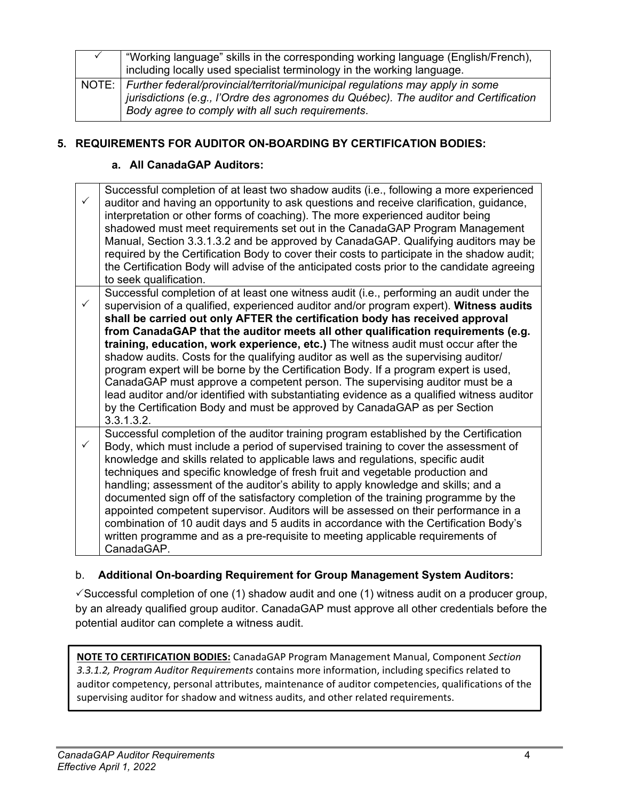| "Working language" skills in the corresponding working language (English/French),<br>including locally used specialist terminology in the working language.                                                                      |
|----------------------------------------------------------------------------------------------------------------------------------------------------------------------------------------------------------------------------------|
|                                                                                                                                                                                                                                  |
| NOTE: Further federal/provincial/territorial/municipal regulations may apply in some<br>jurisdictions (e.g., l'Ordre des agronomes du Québec). The auditor and Certification<br>Body agree to comply with all such requirements. |

#### **5. REQUIREMENTS FOR AUDITOR ON-BOARDING BY CERTIFICATION BODIES:**

#### **a. All CanadaGAP Auditors:**

| ✓ | Successful completion of at least two shadow audits (i.e., following a more experienced<br>auditor and having an opportunity to ask questions and receive clarification, guidance,<br>interpretation or other forms of coaching). The more experienced auditor being<br>shadowed must meet requirements set out in the CanadaGAP Program Management<br>Manual, Section 3.3.1.3.2 and be approved by CanadaGAP. Qualifying auditors may be<br>required by the Certification Body to cover their costs to participate in the shadow audit;<br>the Certification Body will advise of the anticipated costs prior to the candidate agreeing<br>to seek qualification.                                                                                                                                                                                                                                     |
|---|-------------------------------------------------------------------------------------------------------------------------------------------------------------------------------------------------------------------------------------------------------------------------------------------------------------------------------------------------------------------------------------------------------------------------------------------------------------------------------------------------------------------------------------------------------------------------------------------------------------------------------------------------------------------------------------------------------------------------------------------------------------------------------------------------------------------------------------------------------------------------------------------------------|
|   | Successful completion of at least one witness audit (i.e., performing an audit under the<br>supervision of a qualified, experienced auditor and/or program expert). Witness audits<br>shall be carried out only AFTER the certification body has received approval<br>from CanadaGAP that the auditor meets all other qualification requirements (e.g.<br>training, education, work experience, etc.) The witness audit must occur after the<br>shadow audits. Costs for the qualifying auditor as well as the supervising auditor/<br>program expert will be borne by the Certification Body. If a program expert is used,<br>CanadaGAP must approve a competent person. The supervising auditor must be a<br>lead auditor and/or identified with substantiating evidence as a qualified witness auditor<br>by the Certification Body and must be approved by CanadaGAP as per Section<br>3.3.1.3.2. |
| ✓ | Successful completion of the auditor training program established by the Certification<br>Body, which must include a period of supervised training to cover the assessment of<br>knowledge and skills related to applicable laws and regulations, specific audit<br>techniques and specific knowledge of fresh fruit and vegetable production and<br>handling; assessment of the auditor's ability to apply knowledge and skills; and a<br>documented sign off of the satisfactory completion of the training programme by the<br>appointed competent supervisor. Auditors will be assessed on their performance in a<br>combination of 10 audit days and 5 audits in accordance with the Certification Body's<br>written programme and as a pre-requisite to meeting applicable requirements of<br>CanadaGAP.                                                                                        |

#### b. **Additional On-boarding Requirement for Group Management System Auditors:**

 $\checkmark$  Successful completion of one (1) shadow audit and one (1) witness audit on a producer group, by an already qualified group auditor. CanadaGAP must approve all other credentials before the potential auditor can complete a witness audit.

**NOTE TO CERTIFICATION BODIES:** CanadaGAP Program Management Manual, Component *Section 3.3.1.2, Program Auditor Requirements* contains more information, including specifics related to auditor competency, personal attributes, maintenance of auditor competencies, qualifications of the supervising auditor for shadow and witness audits, and other related requirements.